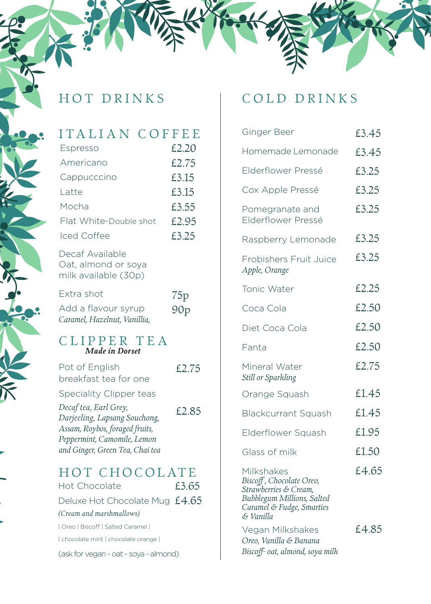## ITALIAN COFFEE

| Espresso                                                       | £2.20 |
|----------------------------------------------------------------|-------|
| Americano                                                      | £2.75 |
| Cappucccino                                                    | £3.15 |
| Latte                                                          | £3.15 |
| Mocha                                                          | £3.55 |
| Flat White-Double shot                                         | £2.95 |
| Iced Coffee                                                    | £3.25 |
| Decaf Available<br>Oat, almond or soya<br>milk available (30p) |       |
| Extra shot                                                     | 75p   |
| Add a flavour syrup<br>Caramel, Hazelnut, Vanillia,            | 90p   |
| CLIPPER TEA<br>Made in Dorset                                  |       |
| Pot of English<br>breakfast tea for one                        | £2.75 |
| Speciality Clipper teas                                        |       |
| Decaf tea, Earl Grey,<br>Darjeeling, Lapsang Souchong,         | £2.85 |
| Assam, Roybos, foraged fruits,<br>Peppermint, Camomile, Lemon  |       |
| and Ginger, Green Tea, Chai tea                                |       |
| HOT CHOCOLATE                                                  |       |
| Hot Chocolate                                                  | £3.65 |
| Deluxe Hot Chocolate Mug £4.65                                 |       |
| (Cream and marshmallows)                                       |       |
| Oreo   Biscoff   Salted Caramel                                |       |
| chocolate mint   chocolate orange                              |       |

(ask for vegan - oat - soya - almond)

### HOT DRINKS | COLD DRINKS

| Ginger Beer                                                                                                                             | £3.45 |
|-----------------------------------------------------------------------------------------------------------------------------------------|-------|
| Homemade Lemonade                                                                                                                       | £3.45 |
| Elderflower Pressé                                                                                                                      | £3.25 |
| Cox Apple Pressé                                                                                                                        | £3.25 |
| Pomegranate and<br>Elderflower Pressé                                                                                                   | £3.25 |
| Raspberry Lemonade                                                                                                                      | £3.25 |
| Frobishers Fruit Juice<br>Apple, Orange                                                                                                 | £3.25 |
| Tonic Water                                                                                                                             | £2.25 |
| Coca Cola                                                                                                                               | £2.50 |
| Diet Coca Cola                                                                                                                          | £2.50 |
| Fanta                                                                                                                                   | £2.50 |
| Mineral Water<br>Still or Sparkling                                                                                                     | £2.75 |
| Orange Squash                                                                                                                           | £1.45 |
| <b>Blackcurrant Squash</b>                                                                                                              | £1.45 |
| Elderflower Squash                                                                                                                      | £1.95 |
| Glass of milk                                                                                                                           | £1.50 |
| Milkshakes<br>Biscoff, Chocolate Oreo,<br>Strawberries & Cream,<br>Bubblegum Millions, Salted<br>Caramel & Fudge, Smarties<br>& Vanilla | £4.65 |
| Vegan Milkshakes<br>Oreo, Vanilla & Banana<br>Biscoff- oat, almond, soya milk                                                           | £4.85 |